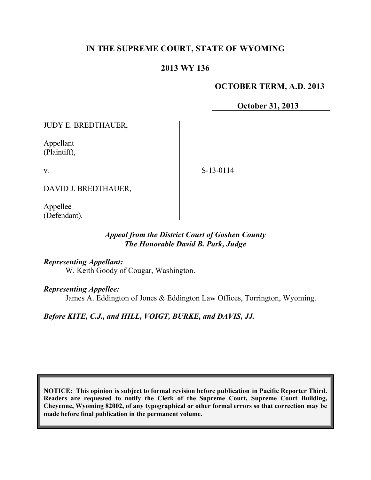# **IN THE SUPREME COURT, STATE OF WYOMING**

# **2013 WY 136**

### **OCTOBER TERM, A.D. 2013**

**October 31, 2013**

JUDY E. BREDTHAUER,

Appellant (Plaintiff),

v.

S-13-0114

DAVID J. BREDTHAUER,

Appellee (Defendant).

# *Appeal from the District Court of Goshen County The Honorable David B. Park, Judge*

#### *Representing Appellant:*

W. Keith Goody of Cougar, Washington.

#### *Representing Appellee:*

James A. Eddington of Jones & Eddington Law Offices, Torrington, Wyoming.

*Before KITE, C.J., and HILL, VOIGT, BURKE, and DAVIS, JJ.*

**NOTICE: This opinion is subject to formal revision before publication in Pacific Reporter Third. Readers are requested to notify the Clerk of the Supreme Court, Supreme Court Building, Cheyenne, Wyoming 82002, of any typographical or other formal errors so that correction may be made before final publication in the permanent volume.**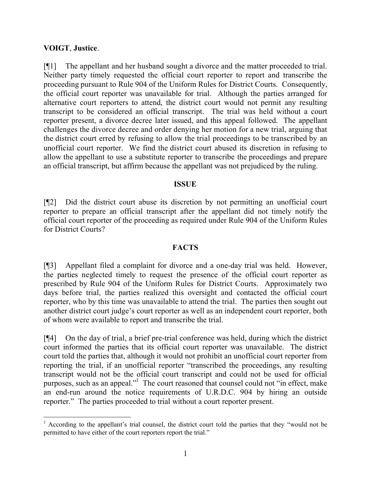### **VOIGT**, **Justice**.

 $\overline{a}$ 

[¶1] The appellant and her husband sought a divorce and the matter proceeded to trial. Neither party timely requested the official court reporter to report and transcribe the proceeding pursuant to Rule 904 of the Uniform Rules for District Courts. Consequently, the official court reporter was unavailable for trial. Although the parties arranged for alternative court reporters to attend, the district court would not permit any resulting transcript to be considered an official transcript. The trial was held without a court reporter present, a divorce decree later issued, and this appeal followed. The appellant challenges the divorce decree and order denying her motion for a new trial, arguing that the district court erred by refusing to allow the trial proceedings to be transcribed by an unofficial court reporter. We find the district court abused its discretion in refusing to allow the appellant to use a substitute reporter to transcribe the proceedings and prepare an official transcript, but affirm because the appellant was not prejudiced by the ruling.

### **ISSUE**

[¶2] Did the district court abuse its discretion by not permitting an unofficial court reporter to prepare an official transcript after the appellant did not timely notify the official court reporter of the proceeding as required under Rule 904 of the Uniform Rules for District Courts?

# **FACTS**

[¶3] Appellant filed a complaint for divorce and a one-day trial was held. However, the parties neglected timely to request the presence of the official court reporter as prescribed by Rule 904 of the Uniform Rules for District Courts. Approximately two days before trial, the parties realized this oversight and contacted the official court reporter, who by this time was unavailable to attend the trial. The parties then sought out another district court judge's court reporter as well as an independent court reporter, both of whom were available to report and transcribe the trial.

[¶4] On the day of trial, a brief pre-trial conference was held, during which the district court informed the parties that its official court reporter was unavailable. The district court told the parties that, although it would not prohibit an unofficial court reporter from reporting the trial, if an unofficial reporter "transcribed the proceedings, any resulting transcript would not be the official court transcript and could not be used for official purposes, such as an appeal."<sup>1</sup> The court reasoned that counsel could not "in effect, make an end-run around the notice requirements of U.R.D.C. 904 by hiring an outside reporter." The parties proceeded to trial without a court reporter present.

<sup>&</sup>lt;sup>1</sup> According to the appellant's trial counsel, the district court told the parties that they "would not be permitted to have either of the court reporters report the trial."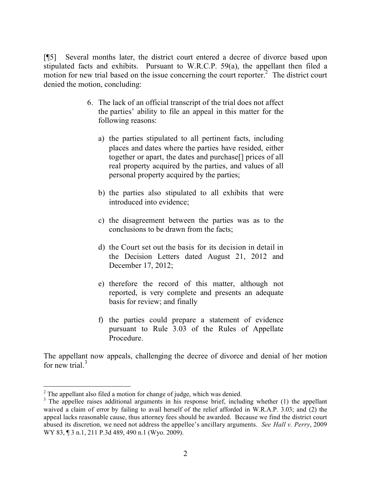[¶5] Several months later, the district court entered a decree of divorce based upon stipulated facts and exhibits. Pursuant to W.R.C.P. 59(a), the appellant then filed a motion for new trial based on the issue concerning the court reporter.<sup>2</sup> The district court denied the motion, concluding:

- 6. The lack of an official transcript of the trial does not affect the parties' ability to file an appeal in this matter for the following reasons:
	- a) the parties stipulated to all pertinent facts, including places and dates where the parties have resided, either together or apart, the dates and purchase[] prices of all real property acquired by the parties, and values of all personal property acquired by the parties;
	- b) the parties also stipulated to all exhibits that were introduced into evidence;
	- c) the disagreement between the parties was as to the conclusions to be drawn from the facts;
	- d) the Court set out the basis for its decision in detail in the Decision Letters dated August 21, 2012 and December 17, 2012;
	- e) therefore the record of this matter, although not reported, is very complete and presents an adequate basis for review; and finally
	- f) the parties could prepare a statement of evidence pursuant to Rule 3.03 of the Rules of Appellate Procedure.

The appellant now appeals, challenging the decree of divorce and denial of her motion for new trial. $3$ 

  $2^2$  The appellant also filed a motion for change of judge, which was denied.

 $3$  The appellee raises additional arguments in his response brief, including whether (1) the appellant waived a claim of error by failing to avail herself of the relief afforded in W.R.A.P. 3.03; and (2) the appeal lacks reasonable cause, thus attorney fees should be awarded. Because we find the district court abused its discretion, we need not address the appellee's ancillary arguments. *See Hall v. Perry*, 2009 WY 83, ¶ 3 n.1, 211 P.3d 489, 490 n.1 (Wyo. 2009).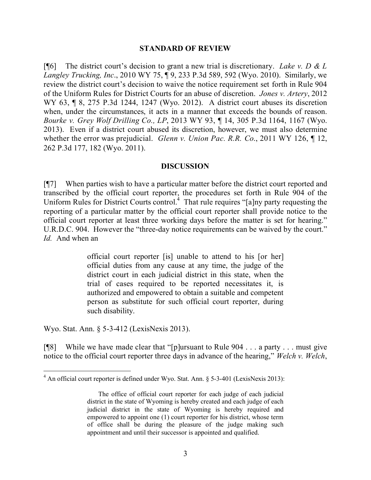#### **STANDARD OF REVIEW**

[¶6] The district court's decision to grant a new trial is discretionary. *Lake v. D & L Langley Trucking, Inc*., 2010 WY 75, ¶ 9, 233 P.3d 589, 592 (Wyo. 2010). Similarly, we review the district court's decision to waive the notice requirement set forth in Rule 904 of the Uniform Rules for District Courts for an abuse of discretion. *Jones v. Artery*, 2012 WY 63, ¶ 8, 275 P.3d 1244, 1247 (Wyo. 2012). A district court abuses its discretion when, under the circumstances, it acts in a manner that exceeds the bounds of reason. *Bourke v. Grey Wolf Drilling Co., LP*, 2013 WY 93, ¶ 14, 305 P.3d 1164, 1167 (Wyo. 2013). Even if a district court abused its discretion, however, we must also determine whether the error was prejudicial. *Glenn v. Union Pac. R.R. Co*., 2011 WY 126, ¶ 12, 262 P.3d 177, 182 (Wyo. 2011).

#### **DISCUSSION**

[¶7] When parties wish to have a particular matter before the district court reported and transcribed by the official court reporter, the procedures set forth in Rule 904 of the Uniform Rules for District Courts control.<sup>4</sup> That rule requires "[a]ny party requesting the reporting of a particular matter by the official court reporter shall provide notice to the official court reporter at least three working days before the matter is set for hearing." U.R.D.C. 904. However the "three-day notice requirements can be waived by the court." *Id.* And when an

> official court reporter [is] unable to attend to his [or her] official duties from any cause at any time, the judge of the district court in each judicial district in this state, when the trial of cases required to be reported necessitates it, is authorized and empowered to obtain a suitable and competent person as substitute for such official court reporter, during such disability.

Wyo. Stat. Ann. § 5-3-412 (LexisNexis 2013).

 $\overline{a}$ 

[¶8] While we have made clear that "[p]ursuant to Rule 904 . . . a party . . . must give notice to the official court reporter three days in advance of the hearing," *Welch v. Welch*,

 $4$  An official court reporter is defined under Wyo. Stat. Ann. § 5-3-401 (LexisNexis 2013):

The office of official court reporter for each judge of each judicial district in the state of Wyoming is hereby created and each judge of each judicial district in the state of Wyoming is hereby required and empowered to appoint one (1) court reporter for his district, whose term of office shall be during the pleasure of the judge making such appointment and until their successor is appointed and qualified.